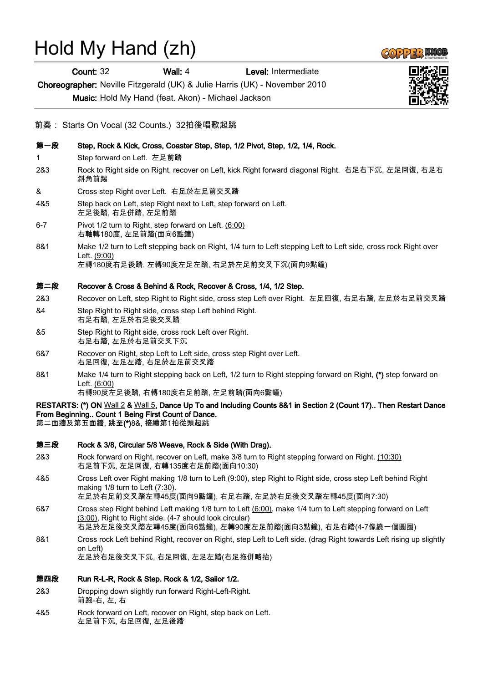# Hold My Hand (zh)

Count: 32 Wall: 4 Level: Intermediate

Choreographer: Neville Fitzgerald (UK) & Julie Harris (UK) - November 2010

Music: Hold My Hand (feat. Akon) - Michael Jackson

### 前奏: Starts On Vocal (32 Counts.) 32拍後唱歌起跳

- 第一段 Step, Rock & Kick, Cross, Coaster Step, Step, 1/2 Pivot, Step, 1/2, 1/4, Rock.
- 1 Step forward on Left. 左足前踏
- 2&3 Rock to Right side on Right, recover on Left, kick Right forward diagonal Right. 右足右下沉, 左足回復, 右足右 斜角前踢
- & Cross step Right over Left. 右足於左足前交叉踏
- 4&5 Step back on Left, step Right next to Left, step forward on Left. 左足後踏, 右足併踏, 左足前踏
- 6-7 Pivot 1/2 turn to Right, step forward on Left. (6:00) 右軸轉180度, 左足前踏(面向6點鐘)
- 8&1 Make 1/2 turn to Left stepping back on Right, 1/4 turn to Left stepping Left to Left side, cross rock Right over Left. (9:00)

左轉180度右足後踏, 左轉90度左足左踏, 右足於左足前交叉下沉(面向9點鐘)

#### 第二段 Recover & Cross & Behind & Rock, Recover & Cross, 1/4, 1/2 Step.

- 2&3 Recover on Left, step Right to Right side, cross step Left over Right. 左足回復, 右足右踏, 左足於右足前交叉踏
- &4 Step Right to Right side, cross step Left behind Right. 右足右踏, 左足於右足後交叉踏
- &5 Step Right to Right side, cross rock Left over Right. 右足右踏, 左足於右足前交叉下沉
- 6&7 Recover on Right, step Left to Left side, cross step Right over Left. 右足回復, 左足左踏, 右足於左足前交叉踏
- 8&1 Make 1/4 turn to Right stepping back on Left, 1/2 turn to Right stepping forward on Right, (\*) step forward on Left. (6:00)

右轉90度左足後踏, 右轉180度右足前踏, 左足前踏(面向6點鐘)

## RESTARTS: (\*) ON Wall 2 & Wall 5, Dance Up To and Including Counts 8&1 in Section 2 (Count 17).. Then Restart Dance From Beginning.. Count 1 Being First Count of Dance.

第二面牆及第五面牆, 跳至(\*)8&, 接續第1拍從頭起跳

#### 第三段 Rock & 3/8, Circular 5/8 Weave, Rock & Side (With Drag).

- 2&3 Rock forward on Right, recover on Left, make 3/8 turn to Right stepping forward on Right. (10:30) 右足前下沉, 左足回復, 右轉135度右足前踏(面向10:30)
- 4&5 Cross Left over Right making 1/8 turn to Left (9:00), step Right to Right side, cross step Left behind Right making 1/8 turn to Left (7:30).

左足於右足前交叉踏左轉45度(面向9點鐘), 右足右踏, 左足於右足後交叉踏左轉45度(面向7:30)

- 6&7 Cross step Right behind Left making 1/8 turn to Left (6:00), make 1/4 turn to Left stepping forward on Left (3:00), Right to Right side. (4-7 should look circular) 右足於左足後交叉踏左轉45度(面向6點鐘), 左轉90度左足前踏(面向3點鐘), 右足右踏(4-7像繞一個圓圈)
- 8&1 Cross rock Left behind Right, recover on Right, step Left to Left side. (drag Right towards Left rising up slightly on Left) 左足於右足後交叉下沉, 右足回復, 左足左踏(右足拖併略抬)

第四段 Run R-L-R, Rock & Step. Rock & 1/2, Sailor 1/2.

- 2&3 Dropping down slightly run forward Right-Left-Right. 前跑-右, 左, 右
- 4&5 Rock forward on Left, recover on Right, step back on Left. 左足前下沉, 右足回復, 左足後踏